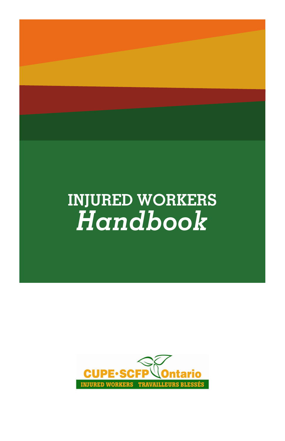# **INJURED WORKERS**  *Handbook*

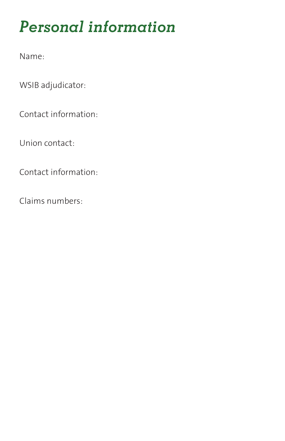### *Personal information*

Name:

WSIB adjudicator:

Contact information:

Union contact:

Contact information:

Claims numbers: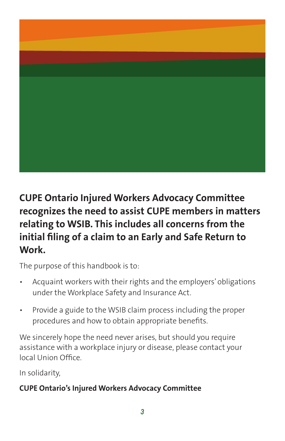

**CUPE Ontario Injured Workers Advocacy Committee recognizes the need to assist CUPE members in matters relating to WSIB. This includes all concerns from the initial filing of a claim to an Early and Safe Return to Work.** 

The purpose of this handbook is to:

- Acquaint workers with their rights and the employers' obligations under the Workplace Safety and Insurance Act.
- Provide a guide to the WSIB claim process including the proper procedures and how to obtain appropriate benefits.

We sincerely hope the need never arises, but should you require assistance with a workplace injury or disease, please contact your local Union Office.

In solidarity,

#### **CUPE Ontario's Injured Workers Advocacy Committee**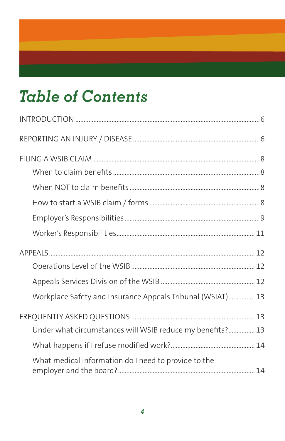## **Table of Contents**

|  | Workplace Safety and Insurance Appeals Tribunal (WSIAT) 13 |  |
|--|------------------------------------------------------------|--|
|  |                                                            |  |
|  | Under what circumstances will WSIB reduce my benefits? 13  |  |
|  |                                                            |  |
|  | What medical information do I need to provide to the       |  |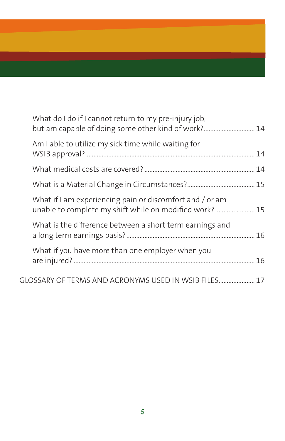| What do I do if I cannot return to my pre-injury job,<br>but am capable of doing some other kind of work? 14       |  |
|--------------------------------------------------------------------------------------------------------------------|--|
| Am I able to utilize my sick time while waiting for                                                                |  |
|                                                                                                                    |  |
|                                                                                                                    |  |
| What if I am experiencing pain or discomfort and / or am<br>unable to complete my shift while on modified work? 15 |  |
| What is the difference between a short term earnings and                                                           |  |
| What if you have more than one employer when you                                                                   |  |
| GLOSSARY OF TERMS AND ACRONYMS USED IN WSIB FILES 17                                                               |  |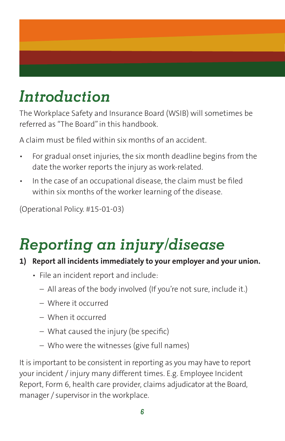### *Introduction*

The Workplace Safety and Insurance Board (WSIB) will sometimes be referred as "The Board" in this handbook.

A claim must be filed within six months of an accident.

- For gradual onset injuries, the six month deadline begins from the date the worker reports the injury as work-related.
- In the case of an occupational disease, the claim must be filed within six months of the worker learning of the disease.

(Operational Policy. #15-01-03)

# *Reporting an injury/disease*

- **1) Report all incidents immediately to your employer and your union.**
	- File an incident report and include:
		- All areas of the body involved (If you're not sure, include it.)
		- Where it occurred
		- When it occurred
		- What caused the injury (be specific)
		- Who were the witnesses (give full names)

It is important to be consistent in reporting as you may have to report your incident / injury many different times. E.g. Employee Incident Report, Form 6, health care provider, claims adjudicator at the Board, manager / supervisor in the workplace.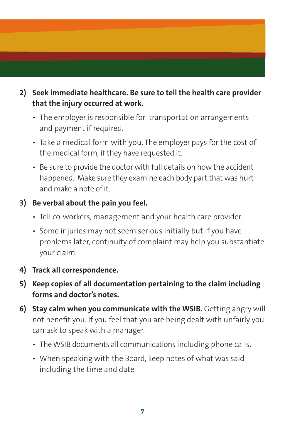#### **2) Seek immediate healthcare. Be sure to tell the health care provider that the injury occurred at work.**

- The employer is responsible for transportation arrangements and payment if required.
- Take a medical form with you. The employer pays for the cost of the medical form, if they have requested it.
- Be sure to provide the doctor with full details on how the accident happened. Make sure they examine each body part that was hurt and make a note of it.

#### **3) Be verbal about the pain you feel.**

- Tell co-workers, management and your health care provider.
- Some injuries may not seem serious initially but if you have problems later, continuity of complaint may help you substantiate your claim.
- **4) Track all correspondence.**
- **5) Keep copies of all documentation pertaining to the claim including forms and doctor's notes.**
- **6) Stay calm when you communicate with the WSIB.** Getting angry will not benefit you. If you feel that you are being dealt with unfairly you can ask to speak with a manager.
	- The WSIB documents all communications including phone calls.
	- When speaking with the Board, keep notes of what was said including the time and date.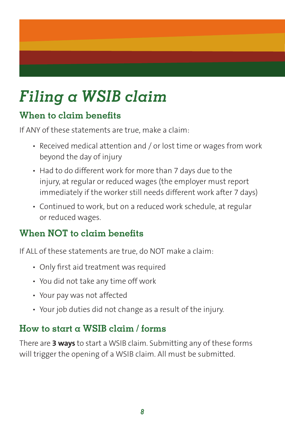# *Filing a WSIB claim*

### **When to claim benefits**

If ANY of these statements are true, make a claim:

- Received medical attention and / or lost time or wages from work beyond the day of injury
- Had to do different work for more than 7 days due to the injury, at regular or reduced wages (the employer must report immediately if the worker still needs different work after 7 days)
- Continued to work, but on a reduced work schedule, at regular or reduced wages.

### **When NOT to claim benefits**

If ALL of these statements are true, do NOT make a claim:

- Only first aid treatment was required
- You did not take any time off work
- Your pay was not affected
- Your job duties did not change as a result of the injury.

### **How to start a WSIB claim / forms**

There are **3 ways** to start a WSIB claim. Submitting any of these forms will trigger the opening of a WSIB claim. All must be submitted.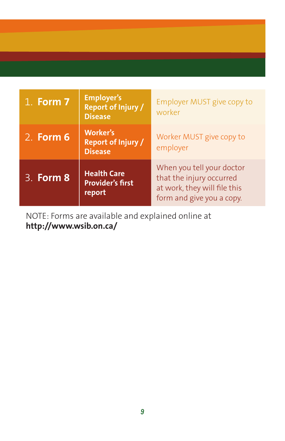| 1. Form 7   | <b>Employer's</b><br><b>Report of Injury /</b><br><b>Disease</b> | Employer MUST give copy to<br>worker                                                                               |
|-------------|------------------------------------------------------------------|--------------------------------------------------------------------------------------------------------------------|
| $2.$ Form 6 | <b>Worker's</b><br><b>Report of Injury /</b><br><b>Disease</b>   | Worker MUST give copy to<br>employer                                                                               |
| 3. Form 8   | <b>Health Care</b><br><b>Provider's first</b><br>report          | When you tell your doctor<br>that the injury occurred<br>at work, they will file this<br>form and give you a copy. |

NOTE: Forms are available and explained online at **http://www.wsib.on.ca/**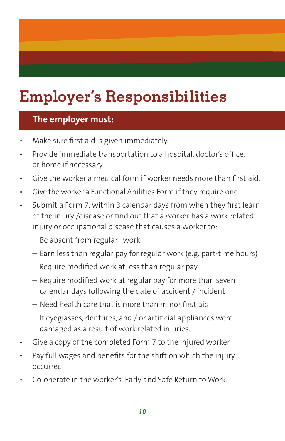# **Employer's Responsibilities**

### **The employer must:**

- Make sure first aid is given immediately.
- Provide immediate transportation to a hospital, doctor's office, or home if necessary.
- Give the worker a medical form if worker needs more than first aid.
- Give the worker a Functional Abilities Form if they require one.
- Submit a Form 7, within 3 calendar days from when they first learn of the injury /disease or find out that a worker has a work-related injury or occupational disease that causes a worker to:
	- Be absent from regular work
	- Earn less than regular pay for regular work (e.g. part-time hours)
	- Require modified work at less than regular pay
	- Require modified work at regular pay for more than seven calendar days following the date of accident / incident
	- Need health care that is more than minor first aid
	- If eyeglasses, dentures, and / or artificial appliances were damaged as a result of work related injuries.
- Give a copy of the completed Form 7 to the injured worker.
- Pay full wages and benefits for the shift on which the injury occurred.
- Co-operate in the worker's, Early and Safe Return to Work.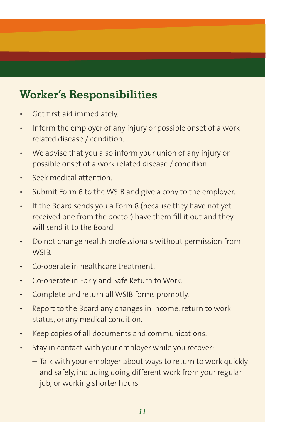### **Worker's Responsibilities**

- Get first aid immediately.
- Inform the employer of any injury or possible onset of a workrelated disease / condition.
- We advise that you also inform your union of any injury or possible onset of a work-related disease / condition.
- Seek medical attention.
- Submit Form 6 to the WSIB and give a copy to the employer.
- If the Board sends you a Form 8 (because they have not yet received one from the doctor) have them fill it out and they will send it to the Board.
- Do not change health professionals without permission from WSIB.
- Co-operate in healthcare treatment.
- Co-operate in Early and Safe Return to Work.
- Complete and return all WSIB forms promptly.
- Report to the Board any changes in income, return to work status, or any medical condition.
- Keep copies of all documents and communications.
- Stay in contact with your employer while you recover:
	- Talk with your employer about ways to return to work quickly and safely, including doing different work from your regular job, or working shorter hours.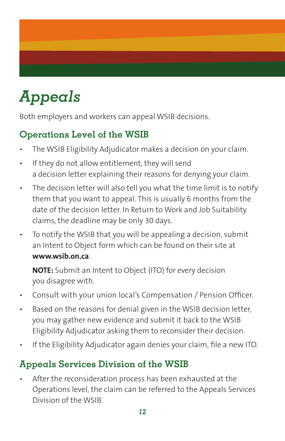# *Appeals*

Both employers and workers can appeal WSIB decisions.

### **Operations Level of the WSIB**

- The WSIB Eligibility Adjudicator makes a decision on your claim.
- If they do not allow entitlement, they will send a decision letter explaining their reasons for denying your claim.
- The decision letter will also tell you what the time limit is to notify them that you want to appeal. This is usually 6 months from the date of the decision letter. In Return to Work and Job Suitability claims, the deadline may be only 30 days.
- To notify the WSIB that you will be appealing a decision, submit an Intent to Object form which can be found on their site at **www.wsib.on.ca**.

**NOTE:** Submit an Intent to Object (ITO) for every decision you disagree with.

- Consult with your union local's Compensation / Pension Officer.
- Based on the reasons for denial given in the WSIB decision letter, you may gather new evidence and submit it back to the WSIB Eligibility Adjudicator asking them to reconsider their decision.
- If the Eligibility Adjudicator again denies your claim, file a new ITO.

### **Appeals Services Division of the WSIB**

After the reconsideration process has been exhausted at the Operations level, the claim can be referred to the Appeals Services Division of the WSIB.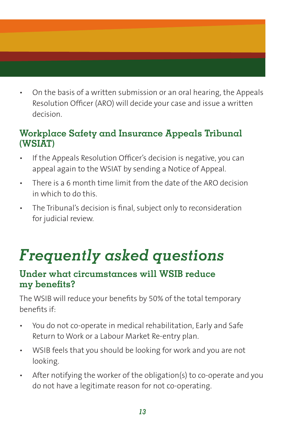• On the basis of a written submission or an oral hearing, the Appeals Resolution Officer (ARO) will decide your case and issue a written decision.

#### **Workplace Safety and Insurance Appeals Tribunal (WSIAT)**

- If the Appeals Resolution Officer's decision is negative, you can appeal again to the WSIAT by sending a Notice of Appeal.
- There is a 6 month time limit from the date of the ARO decision in which to do this.
- The Tribunal's decision is final, subject only to reconsideration for judicial review.

# *Frequently asked questions*

#### **Under what circumstances will WSIB reduce my benefits?**

The WSIB will reduce your benefits by 50% of the total temporary benefits if:

- You do not co-operate in medical rehabilitation, Early and Safe Return to Work or a Labour Market Re-entry plan.
- WSIB feels that you should be looking for work and you are not looking.
- After notifying the worker of the obligation(s) to co-operate and you do not have a legitimate reason for not co-operating.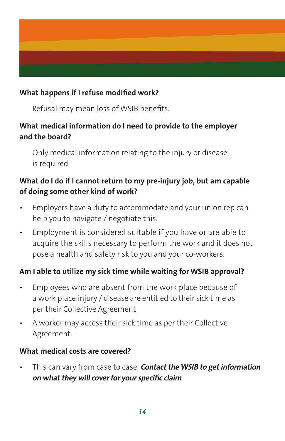#### **What happens if I refuse modified work?**

Refusal may mean loss of WSIB benefits.

#### **What medical information do I need to provide to the employer and the board?**

Only medical information relating to the injury or disease is required.

#### **What do I do if I cannot return to my pre-injury job, but am capable of doing some other kind of work?**

- Employers have a duty to accommodate and your union rep can help you to navigate / negotiate this.
- Employment is considered suitable if you have or are able to acquire the skills necessary to perform the work and it does not pose a health and safety risk to you and your co-workers.

#### **Am I able to utilize my sick time while waiting for WSIB approval?**

- Employees who are absent from the work place because of a work place injury / disease are entitled to their sick time as per their Collective Agreement.
- A worker may access their sick time as per their Collective Agreement.

#### **What medical costs are covered?**

• This can vary from case to case. **Contact the WSIB to get information on what they will cover for your specific claim**.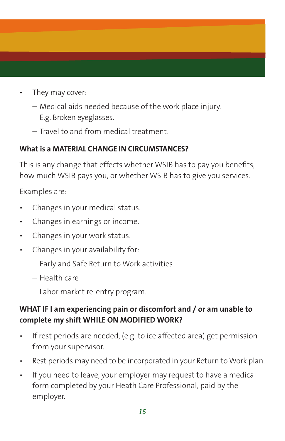- They may cover:
	- Medical aids needed because of the work place injury. E.g. Broken eyeglasses.
	- Travel to and from medical treatment.

#### **What is a MATERIAL CHANGE IN CIRCUMSTANCES?**

This is any change that effects whether WSIB has to pay you benefits, how much WSIB pays you, or whether WSIB has to give you services.

Examples are:

- Changes in your medical status.
- Changes in earnings or income.
- Changes in your work status.
- Changes in your availability for:
	- Early and Safe Return to Work activities
	- Health care
	- Labor market re-entry program.

#### **WHAT IF I am experiencing pain or discomfort and / or am unable to complete my shift WHILE ON MODIFIED WORK?**

- If rest periods are needed, (e.g. to ice affected area) get permission from your supervisor.
- Rest periods may need to be incorporated in your Return to Work plan.
- If you need to leave, your employer may request to have a medical form completed by your Heath Care Professional, paid by the employer.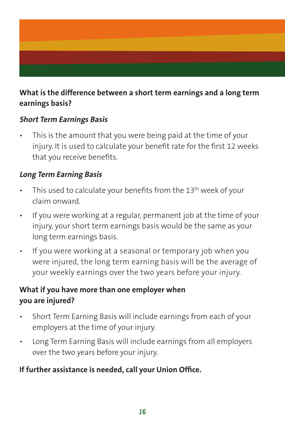

#### **What is the difference between a short term earnings and a long term earnings basis?**

#### **Short Term Earnings Basis**

This is the amount that you were being paid at the time of your injury. It is used to calculate your benefit rate for the first 12 weeks that you receive benefits.

#### **Long Term Earning Basis**

- This used to calculate your benefits from the  $13<sup>th</sup>$  week of your claim onward.
- If you were working at a regular, permanent job at the time of your injury, your short term earnings basis would be the same as your long term earnings basis.
- If you were working at a seasonal or temporary job when you were injured, the long term earning basis will be the average of your weekly earnings over the two years before your injury.

#### **What if you have more than one employer when you are injured?**

- Short Term Earning Basis will include earnings from each of your employers at the time of your injury.
- Long Term Earning Basis will include earnings from all employers over the two years before your injury.

#### **If further assistance is needed, call your Union Office.**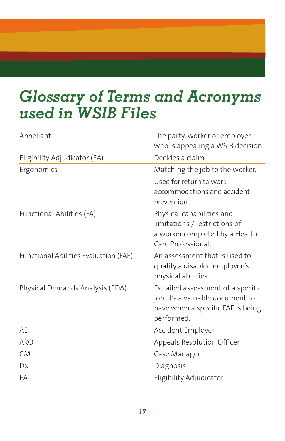### *Glossary of Terms and Acronyms used in WSIB Files*

| Appellant                             | The party, worker or employer,<br>who is appealing a WSIB decision.                                                      |
|---------------------------------------|--------------------------------------------------------------------------------------------------------------------------|
| Eligibility Adjudicator (EA)          | Decides a claim                                                                                                          |
| Ergonomics                            | Matching the job to the worker.                                                                                          |
|                                       | Used for return to work<br>accommodations and accident<br>prevention.                                                    |
| Functional Abilities (FA)             | Physical capabilities and<br>limitations / restrictions of<br>a worker completed by a Health<br>Care Professional.       |
| Functional Abilities Evaluation (FAE) | An assessment that is used to<br>qualify a disabled employee's<br>physical abilities.                                    |
| Physical Demands Analysis (PDA)       | Detailed assessment of a specific<br>job. It's a valuable document to<br>have when a specific FAE is being<br>performed. |
| AE                                    | Accident Employer                                                                                                        |
| <b>ARO</b>                            | Appeals Resolution Officer                                                                                               |
| <b>CM</b>                             | Case Manager                                                                                                             |
| Dx                                    | Diagnosis                                                                                                                |
| EA                                    | Eligibility Adjudicator                                                                                                  |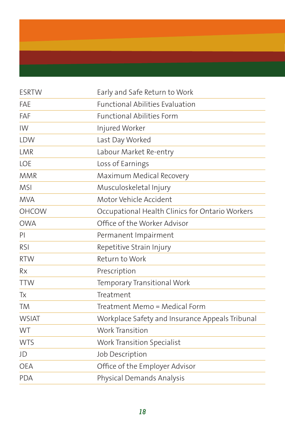

| <b>ESRTW</b> | Early and Safe Return to Work                   |
|--------------|-------------------------------------------------|
| FAE          | <b>Functional Abilities Evaluation</b>          |
| FAF          | <b>Functional Abilities Form</b>                |
| IW           | Injured Worker                                  |
| <b>LDW</b>   | Last Day Worked                                 |
| LMR          | Labour Market Re-entry                          |
| LOE          | Loss of Earnings                                |
| <b>MMR</b>   | Maximum Medical Recovery                        |
| <b>MSI</b>   | Musculoskeletal Injury                          |
| <b>MVA</b>   | Motor Vehicle Accident                          |
| OHCOW        | Occupational Health Clinics for Ontario Workers |
| <b>OWA</b>   | Office of the Worker Advisor                    |
| PI           | Permanent Impairment                            |
| <b>RSI</b>   | Repetitive Strain Injury                        |
| <b>RTW</b>   | Return to Work                                  |
| Rx           | Prescription                                    |
| <b>TTW</b>   | Temporary Transitional Work                     |
| Tx           | Treatment                                       |
| <b>TM</b>    | Treatment Memo = Medical Form                   |
| <b>WSIAT</b> | Workplace Safety and Insurance Appeals Tribunal |
| WT           | <b>Work Transition</b>                          |
| <b>WTS</b>   | Work Transition Specialist                      |
| JD           | Job Description                                 |
| <b>OEA</b>   | Office of the Employer Advisor                  |
| <b>PDA</b>   | Physical Demands Analysis                       |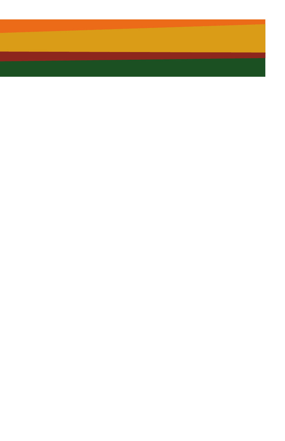